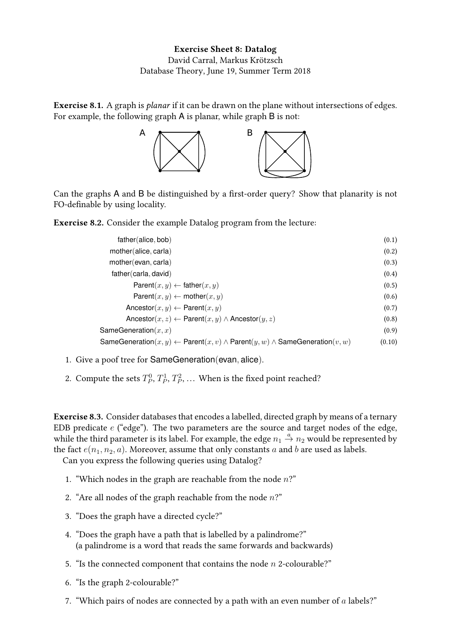Exercise 8.1. A graph is planar if it can be drawn on the plane without intersections of edges. For example, the following graph A is planar, while graph B is not:



Can the graphs A and B be distinguished by a first-order query? Show that planarity is not FO-definable by using locality.

Exercise 8.2. Consider the example Datalog program from the lecture:

| father(alice, bob)                                                                                       | (0.1)  |
|----------------------------------------------------------------------------------------------------------|--------|
| mother(alice, carla)                                                                                     | (0.2)  |
| mother (evan, carla)                                                                                     | (0.3)  |
| father(carla, david)                                                                                     | (0.4)  |
| Parent $(x, y) \leftarrow$ father $(x, y)$                                                               | (0.5)  |
| Parent $(x, y) \leftarrow \text{mother}(x, y)$                                                           | (0.6)  |
| Ancestor $(x, y) \leftarrow$ Parent $(x, y)$                                                             | (0.7)  |
| Ancestor $(x, z) \leftarrow$ Parent $(x, y) \wedge$ Ancestor $(y, z)$                                    | (0.8)  |
| SameGeneration $(x, x)$                                                                                  | (0.9)  |
| SameGeneration $(x, y) \leftarrow$ Parent $(x, v) \wedge$ Parent $(y, w) \wedge$ SameGeneration $(v, w)$ | (0.10) |

- 1. Give a poof tree for SameGeneration(evan, alice).
- 2. Compute the sets  $T_P^0, T_P^1, T_P^2, \dots$  When is the fixed point reached?

Exercise 8.3. Consider databases that encodes a labelled, directed graph by means of a ternary EDB predicate  $e$  ("edge"). The two parameters are the source and target nodes of the edge, while the third parameter is its label. For example, the edge  $n_1 \stackrel{a}{\rightarrow} n_2$  would be represented by the fact  $e(n_1, n_2, a)$ . Moreover, assume that only constants a and b are used as labels.

Can you express the following queries using Datalog?

- 1. "Which nodes in the graph are reachable from the node  $n$ ?"
- 2. "Are all nodes of the graph reachable from the node  $n$ ?"
- 3. "Does the graph have a directed cycle?"
- 4. "Does the graph have a path that is labelled by a palindrome?" (a palindrome is a word that reads the same forwards and backwards)
- 5. "Is the connected component that contains the node  $n$  2-colourable?"
- 6. "Is the graph 2-colourable?"
- 7. "Which pairs of nodes are connected by a path with an even number of  $a$  labels?"